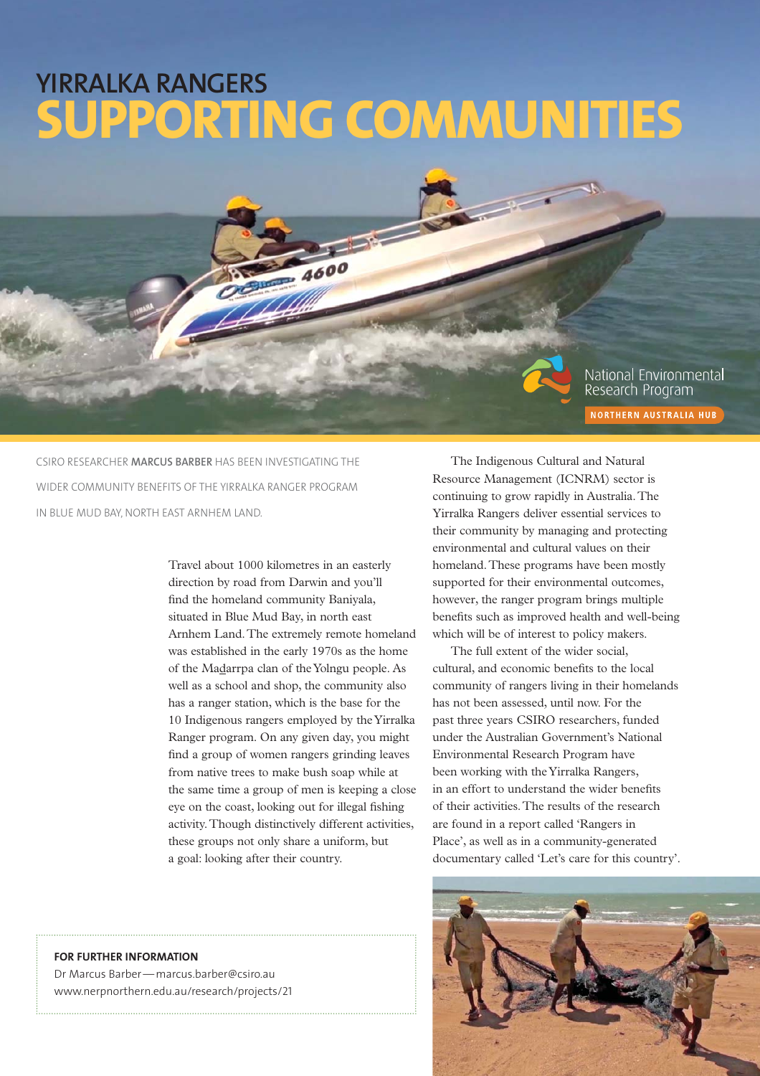# **SUPPORTING COMMUNITIES YIRRALKA RANGERS**

National Environmental Research Program NORTHERN AUSTRALIA HUB

CSIRO RESEARCHER **MARCUS BARBER** HAS BEEN INVESTIGATING THE WIDER COMMUNITY BENEFITS OF THE YIRRALKA RANGER PROGRAM IN BLUE MUD BAY, NORTH EAST ARNHEM LAND.

> Travel about 1000 kilometres in an easterly direction by road from Darwin and you'll find the homeland community Baniyala, situated in Blue Mud Bay, in north east Arnhem Land. The extremely remote homeland was established in the early 1970s as the home of the Madarrpa clan of the Yolngu people. As well as a school and shop, the community also has a ranger station, which is the base for the 10 Indigenous rangers employed by the Yirralka Ranger program. On any given day, you might find a group of women rangers grinding leaves from native trees to make bush soap while at the same time a group of men is keeping a close eye on the coast, looking out for illegal fishing activity. Though distinctively different activities, these groups not only share a uniform, but a goal: looking after their country.

4600

The Indigenous Cultural and Natural Resource Management (ICNRM) sector is continuing to grow rapidly in Australia. The Yirralka Rangers deliver essential services to their community by managing and protecting environmental and cultural values on their homeland. These programs have been mostly supported for their environmental outcomes, however, the ranger program brings multiple benefits such as improved health and well-being which will be of interest to policy makers.

The full extent of the wider social, cultural, and economic benefits to the local community of rangers living in their homelands has not been assessed, until now. For the past three years CSIRO researchers, funded under the Australian Government's National Environmental Research Program have been working with the Yirralka Rangers, in an effort to understand the wider benefits of their activities. The results of the research are found in a report called 'Rangers in Place', as well as in a community-generated documentary called 'Let's care for this country'.



## **FOR FURTHER INFORMATION**

Dr Marcus Barber — marcus.barber@csiro.au www.nerpnorthern.edu.au/research/projects/21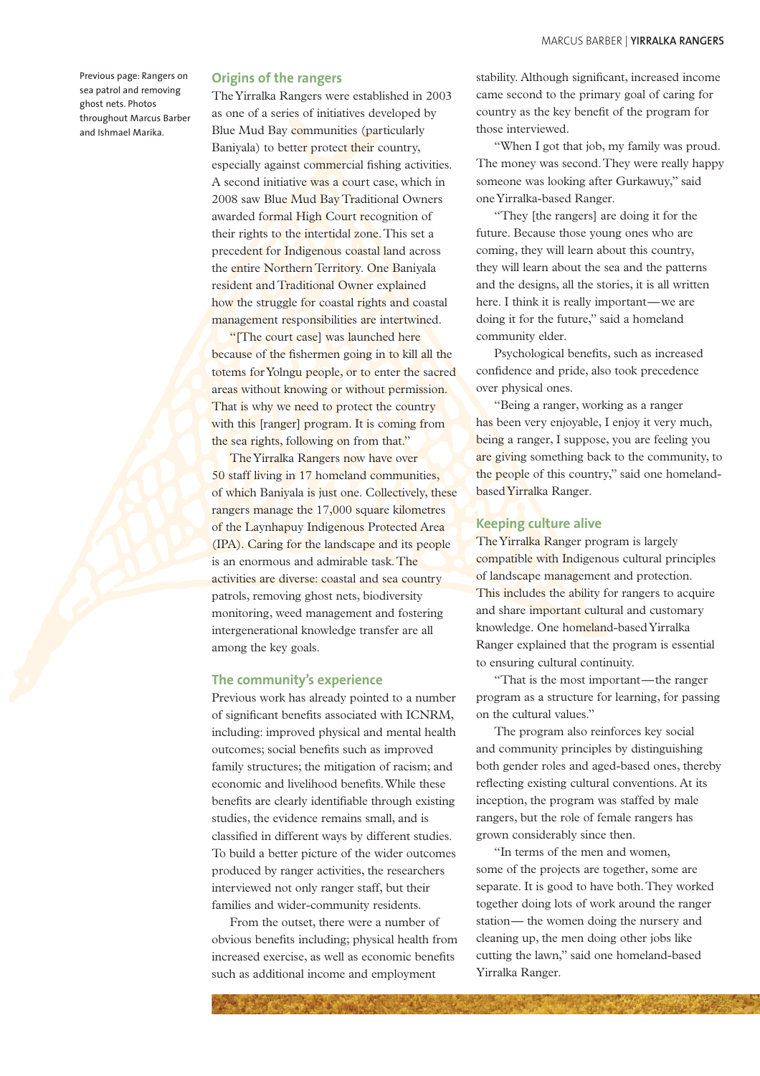Previous page: Rangers on sea patrol and removing ghost nets. Photos throughout Marcus Barber and Ishmael Marika.

#### **Origins of the rangers**

The Yirralka Rangers were established in 2003 as one of a series of initiatives developed by Blue Mud Bay communities (particularly Baniyala) to better protect their country, especially against commercial fishing activities. A second initiative was a court case, which in 2008 saw Blue Mud Bay Traditional Owners awarded formal High Court recognition of their rights to the intertidal zone. This set a precedent for Indigenous coastal land across the entire Northern Territory. One Baniyala resident and Traditional Owner explained how the struggle for coastal rights and coastal management responsibilities are intertwined.

"[The court case] was launched here because of the fishermen going in to kill all the totems for Yolngu people, or to enter the sacred areas without knowing or without permission. That is why we need to protect the country with this [ranger] program. It is coming from the sea rights, following on from that."

The Yirralka Rangers now have over 50 staff living in 17 homeland communities, of which Baniyala is just one. Collectively, these rangers manage the 17,000 square kilometres of the Laynhapuy Indigenous Protected Area (IPA). Caring for the landscape and its people is an enormous and admirable task. The activities are diverse: coastal and sea country patrols, removing ghost nets, biodiversity monitoring, weed management and fostering intergenerational knowledge transfer are all among the key goals.

#### **The community's experience**

Previous work has already pointed to a number of significant benefits associated with ICNRM, including: improved physical and mental health outcomes; social benefits such as improved family structures; the mitigation of racism; and economic and livelihood benefits. While these benefits are clearly identifiable through existing studies, the evidence remains small, and is classified in different ways by different studies. To build a better picture of the wider outcomes produced by ranger activities, the researchers interviewed not only ranger staff, but their families and wider-community residents.

From the outset, there were a number of obvious benefits including; physical health from increased exercise, as well as economic benefits such as additional income and employment

stability. Although significant, increased income came second to the primary goal of caring for country as the key benefit of the program for those interviewed.

"When I got that job, my family was proud. The money was second. They were really happy someone was looking after Gurkawuy," said one Yirralka-based Ranger.

"They [the rangers] are doing it for the future. Because those young ones who are coming, they will learn about this country, they will learn about the sea and the patterns and the designs, all the stories, it is all written here. I think it is really important—we are doing it for the future," said a homeland community elder.

Psychological benefits, such as increased confidence and pride, also took precedence over physical ones.

"Being a ranger, working as a ranger has been very enjoyable, I enjoy it very much, being a ranger, I suppose, you are feeling you are giving something back to the community, to the people of this country," said one homelandbased Yirralka Ranger.

## **Keeping culture alive**

The Yirralka Ranger program is largely compatible with Indigenous cultural principles of landscape management and protection. This includes the ability for rangers to acquire and share important cultural and customary knowledge. One homeland-based Yirralka Ranger explained that the program is essential to ensuring cultural continuity.

"That is the most important — the ranger program as a structure for learning, for passing on the cultural values."

The program also reinforces key social and community principles by distinguishing both gender roles and aged-based ones, thereby reflecting existing cultural conventions. At its inception, the program was staffed by male rangers, but the role of female rangers has grown considerably since then.

"In terms of the men and women, some of the projects are together, some are separate. It is good to have both. They worked together doing lots of work around the ranger station — the women doing the nursery and cleaning up, the men doing other jobs like cutting the lawn," said one homeland-based Yirralka Ranger.